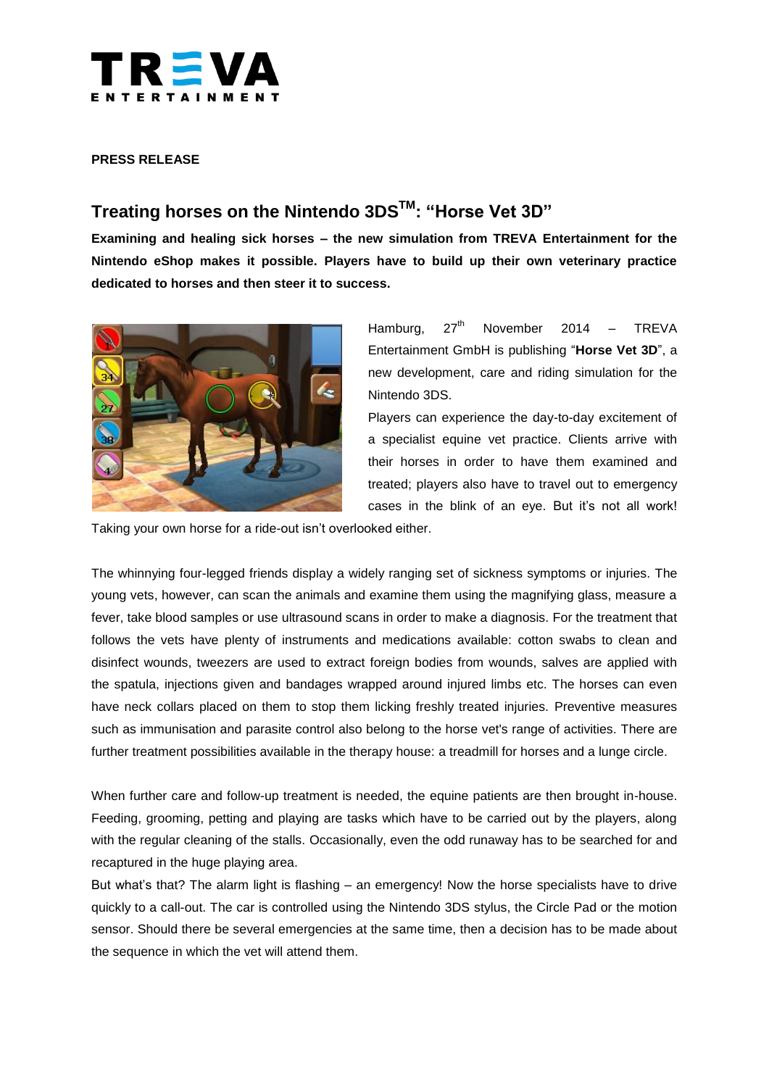

### **PRESS RELEASE**

# **Treating horses on the Nintendo 3DSTM: "Horse Vet 3D"**

**Examining and healing sick horses – the new simulation from TREVA Entertainment for the Nintendo eShop makes it possible. Players have to build up their own veterinary practice dedicated to horses and then steer it to success.**



Hamburg,  $27<sup>th</sup>$  November 2014 – TREVA Entertainment GmbH is publishing "**Horse Vet 3D**", a new development, care and riding simulation for the Nintendo 3DS.

Players can experience the day-to-day excitement of a specialist equine vet practice. Clients arrive with their horses in order to have them examined and treated; players also have to travel out to emergency cases in the blink of an eye. But it's not all work!

Taking your own horse for a ride-out isn't overlooked either.

The whinnying four-legged friends display a widely ranging set of sickness symptoms or injuries. The young vets, however, can scan the animals and examine them using the magnifying glass, measure a fever, take blood samples or use ultrasound scans in order to make a diagnosis. For the treatment that follows the vets have plenty of instruments and medications available: cotton swabs to clean and disinfect wounds, tweezers are used to extract foreign bodies from wounds, salves are applied with the spatula, injections given and bandages wrapped around injured limbs etc. The horses can even have neck collars placed on them to stop them licking freshly treated injuries. Preventive measures such as immunisation and parasite control also belong to the horse vet's range of activities. There are further treatment possibilities available in the therapy house: a treadmill for horses and a lunge circle.

When further care and follow-up treatment is needed, the equine patients are then brought in-house. Feeding, grooming, petting and playing are tasks which have to be carried out by the players, along with the regular cleaning of the stalls. Occasionally, even the odd runaway has to be searched for and recaptured in the huge playing area.

But what's that? The alarm light is flashing – an emergency! Now the horse specialists have to drive quickly to a call-out. The car is controlled using the Nintendo 3DS stylus, the Circle Pad or the motion sensor. Should there be several emergencies at the same time, then a decision has to be made about the sequence in which the vet will attend them.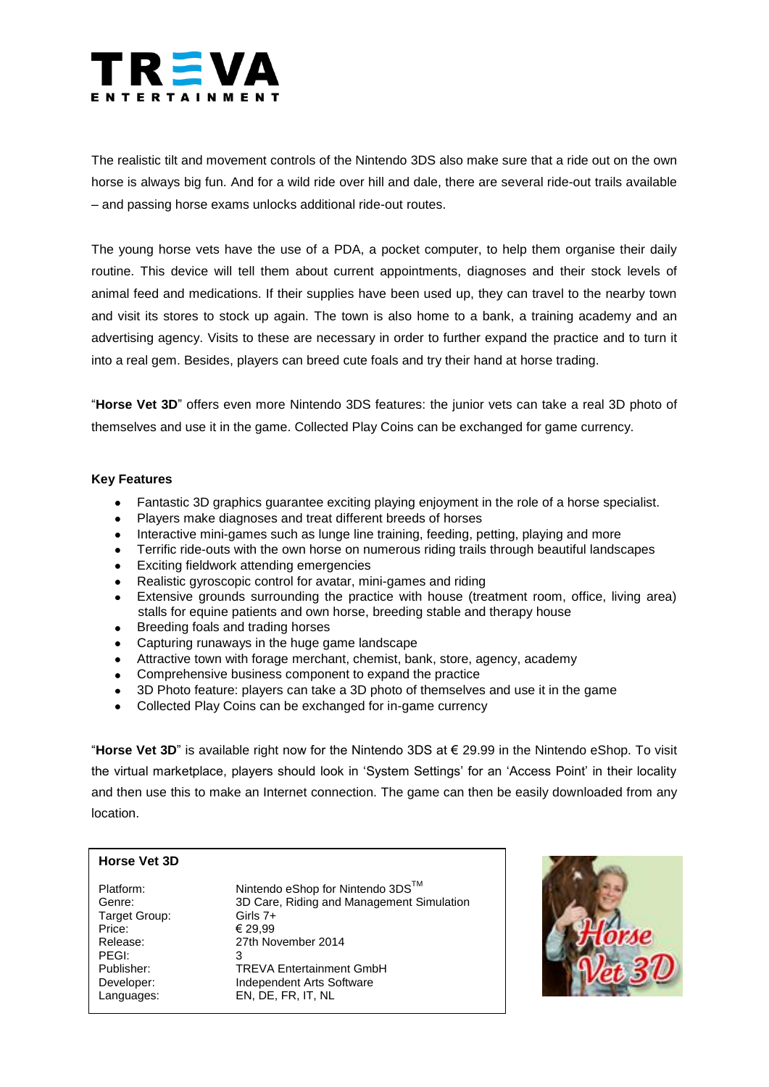

The realistic tilt and movement controls of the Nintendo 3DS also make sure that a ride out on the own horse is always big fun. And for a wild ride over hill and dale, there are several ride-out trails available – and passing horse exams unlocks additional ride-out routes.

The young horse vets have the use of a PDA, a pocket computer, to help them organise their daily routine. This device will tell them about current appointments, diagnoses and their stock levels of animal feed and medications. If their supplies have been used up, they can travel to the nearby town and visit its stores to stock up again. The town is also home to a bank, a training academy and an advertising agency. Visits to these are necessary in order to further expand the practice and to turn it into a real gem. Besides, players can breed cute foals and try their hand at horse trading.

"**Horse Vet 3D**" offers even more Nintendo 3DS features: the junior vets can take a real 3D photo of themselves and use it in the game. Collected Play Coins can be exchanged for game currency.

### **Key Features**

- Fantastic 3D graphics guarantee exciting playing enjoyment in the role of a horse specialist.  $\bullet$
- Players make diagnoses and treat different breeds of horses
- Interactive mini-games such as lunge line training, feeding, petting, playing and more
- Terrific ride-outs with the own horse on numerous riding trails through beautiful landscapes
- Exciting fieldwork attending emergencies
- Realistic gyroscopic control for avatar, mini-games and riding
- Extensive grounds surrounding the practice with house (treatment room, office, living area) stalls for equine patients and own horse, breeding stable and therapy house
- Breeding foals and trading horses
- Capturing runaways in the huge game landscape
- Attractive town with forage merchant, chemist, bank, store, agency, academy
- Comprehensive business component to expand the practice
- 3D Photo feature: players can take a 3D photo of themselves and use it in the game  $\bullet$
- Collected Play Coins can be exchanged for in-game currency

"**Horse Vet 3D**" is available right now for the Nintendo 3DS at € 29.99 in the Nintendo eShop. To visit the virtual marketplace, players should look in 'System Settings' for an 'Access Point' in their locality and then use this to make an Internet connection. The game can then be easily downloaded from any location.

## **Horse Vet 3D**

Target Group: Girls 7+ Price:  $\epsilon$  29.99 PEGI:<br>Publisher:

Platform: Nintendo eShop for Nintendo 3DS™ Genre: 3D Care, Riding and Management Simulation Release: 27th November 2014 **TREVA Entertainment GmbH** Developer: Independent Arts Software Languages: EN, DE, FR, IT, NL